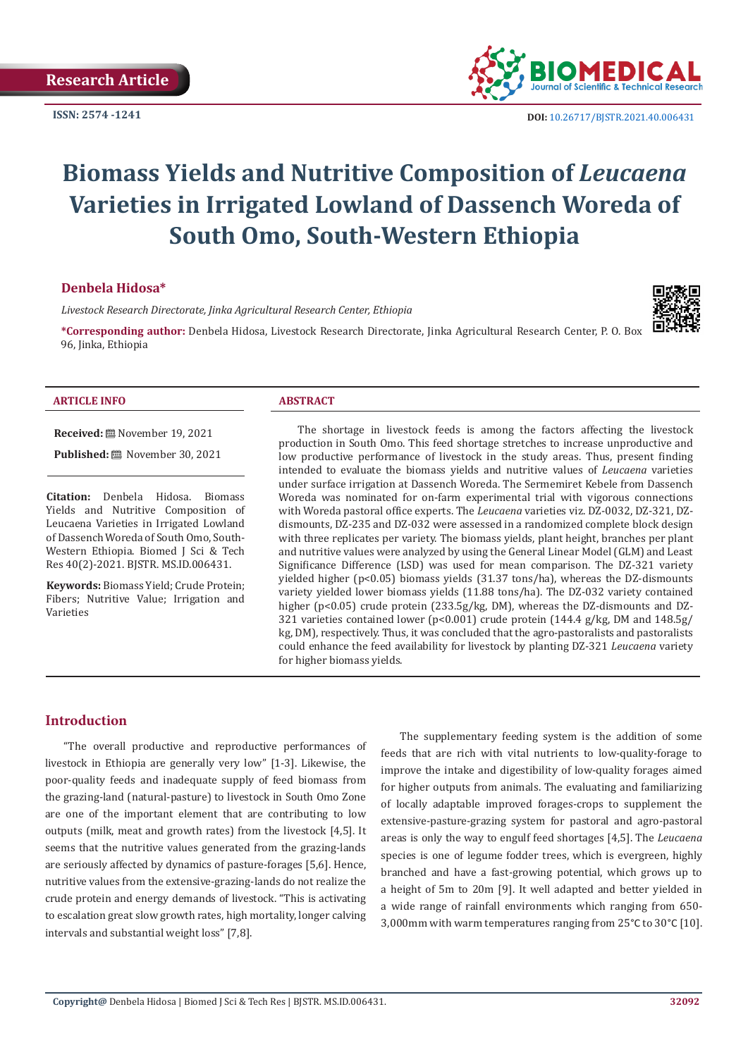**ISSN: 2574 -1241**



 **DOI:** [10.26717/BJSTR.2021.40.006431](https://dx.doi.org/10.26717/BJSTR.2021.40.006431)

# **Biomass Yields and Nutritive Composition of** *Leucaena* **Varieties in Irrigated Lowland of Dassench Woreda of South Omo, South-Western Ethiopia**

## **Denbela Hidosa\***

*Livestock Research Directorate, Jinka Agricultural Research Center, Ethiopia*

**\*Corresponding author:** Denbela Hidosa, Livestock Research Directorate, Jinka Agricultural Research Center, P. O. Box 96, Jinka, Ethiopia



#### **ARTICLE INFO ABSTRACT**

**Received:** November 19, 2021

Published: ■ November 30, 2021

**Citation:** Denbela Hidosa. Biomass Yields and Nutritive Composition of Leucaena Varieties in Irrigated Lowland of Dassench Woreda of South Omo, South-Western Ethiopia. Biomed J Sci & Tech Res 40(2)-2021. BJSTR. MS.ID.006431.

**Keywords:** Biomass Yield; Crude Protein; Fibers; Nutritive Value; Irrigation and Varieties

The shortage in livestock feeds is among the factors affecting the livestock production in South Omo. This feed shortage stretches to increase unproductive and low productive performance of livestock in the study areas. Thus, present finding intended to evaluate the biomass yields and nutritive values of *Leucaena* varieties under surface irrigation at Dassench Woreda. The Sermemiret Kebele from Dassench Woreda was nominated for on-farm experimental trial with vigorous connections with Woreda pastoral office experts. The *Leucaena* varieties viz. DZ-0032, DZ-321, DZdismounts, DZ-235 and DZ-032 were assessed in a randomized complete block design with three replicates per variety. The biomass yields, plant height, branches per plant and nutritive values were analyzed by using the General Linear Model (GLM) and Least Significance Difference (LSD) was used for mean comparison. The DZ-321 variety yielded higher (p<0.05) biomass yields (31.37 tons/ha), whereas the DZ-dismounts variety yielded lower biomass yields (11.88 tons/ha). The DZ-032 variety contained higher (p<0.05) crude protein (233.5g/kg, DM), whereas the DZ-dismounts and DZ-321 varieties contained lower (p<0.001) crude protein (144.4 g/kg, DM and 148.5g/ kg, DM), respectively. Thus, it was concluded that the agro-pastoralists and pastoralists could enhance the feed availability for livestock by planting DZ-321 *Leucaena* variety for higher biomass yields.

# **Introduction**

"The overall productive and reproductive performances of livestock in Ethiopia are generally very low" [1-3]. Likewise, the poor-quality feeds and inadequate supply of feed biomass from the grazing-land (natural-pasture) to livestock in South Omo Zone are one of the important element that are contributing to low outputs (milk, meat and growth rates) from the livestock [4,5]. It seems that the nutritive values generated from the grazing-lands are seriously affected by dynamics of pasture-forages [5,6]. Hence, nutritive values from the extensive-grazing-lands do not realize the crude protein and energy demands of livestock. "This is activating to escalation great slow growth rates, high mortality, longer calving intervals and substantial weight loss" [7,8].

The supplementary feeding system is the addition of some feeds that are rich with vital nutrients to low-quality-forage to improve the intake and digestibility of low-quality forages aimed for higher outputs from animals. The evaluating and familiarizing of locally adaptable improved forages-crops to supplement the extensive-pasture-grazing system for pastoral and agro-pastoral areas is only the way to engulf feed shortages [4,5]. The *Leucaena* species is one of legume fodder trees, which is evergreen, highly branched and have a fast-growing potential, which grows up to a height of 5m to 20m [9]. It well adapted and better yielded in a wide range of rainfall environments which ranging from 650- 3,000mm with warm temperatures ranging from 25°C to 30°C [10].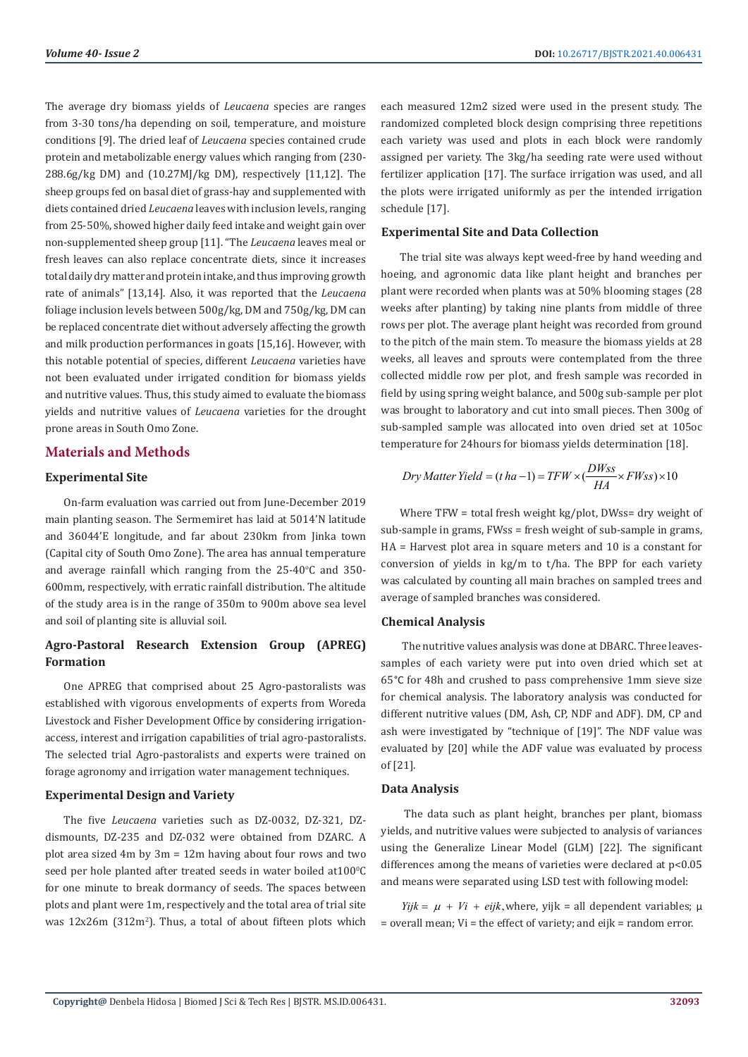The average dry biomass yields of *Leucaena* species are ranges from 3-30 tons/ha depending on soil, temperature, and moisture conditions [9]. The dried leaf of *Leucaena* species contained crude protein and metabolizable energy values which ranging from (230- 288.6g/kg DM) and (10.27MJ/kg DM), respectively [11,12]. The sheep groups fed on basal diet of grass-hay and supplemented with diets contained dried *Leucaena* leaves with inclusion levels, ranging from 25-50%, showed higher daily feed intake and weight gain over non-supplemented sheep group [11]. "The *Leucaena* leaves meal or fresh leaves can also replace concentrate diets, since it increases total daily dry matter and protein intake, and thus improving growth rate of animals" [13,14]. Also, it was reported that the *Leucaena* foliage inclusion levels between 500g/kg, DM and 750g/kg, DM can be replaced concentrate diet without adversely affecting the growth and milk production performances in goats [15,16]. However, with this notable potential of species, different *Leucaena* varieties have not been evaluated under irrigated condition for biomass yields and nutritive values. Thus, this study aimed to evaluate the biomass yields and nutritive values of *Leucaena* varieties for the drought prone areas in South Omo Zone.

# **Materials and Methods**

## **Experimental Site**

On-farm evaluation was carried out from June-December 2019 main planting season. The Sermemiret has laid at 5014'N latitude and 36044'E longitude, and far about 230km from Jinka town (Capital city of South Omo Zone). The area has annual temperature and average rainfall which ranging from the  $25{\text -}40^{\circ}\text{C}$  and  $350{\text -}$ 600mm, respectively, with erratic rainfall distribution. The altitude of the study area is in the range of 350m to 900m above sea level and soil of planting site is alluvial soil.

# **Agro-Pastoral Research Extension Group (APREG) Formation**

One APREG that comprised about 25 Agro-pastoralists was established with vigorous envelopments of experts from Woreda Livestock and Fisher Development Office by considering irrigationaccess, interest and irrigation capabilities of trial agro-pastoralists. The selected trial Agro-pastoralists and experts were trained on forage agronomy and irrigation water management techniques.

#### **Experimental Design and Variety**

The five *Leucaena* varieties such as DZ-0032, DZ-321, DZdismounts, DZ-235 and DZ-032 were obtained from DZARC. A plot area sized 4m by 3m = 12m having about four rows and two seed per hole planted after treated seeds in water boiled at $100\text{°C}$ for one minute to break dormancy of seeds. The spaces between plots and plant were 1m, respectively and the total area of trial site was 12x26m (312m<sup>2</sup>). Thus, a total of about fifteen plots which each measured 12m2 sized were used in the present study. The randomized completed block design comprising three repetitions each variety was used and plots in each block were randomly assigned per variety. The 3kg/ha seeding rate were used without fertilizer application [17]. The surface irrigation was used, and all the plots were irrigated uniformly as per the intended irrigation schedule [17].

## **Experimental Site and Data Collection**

The trial site was always kept weed-free by hand weeding and hoeing, and agronomic data like plant height and branches per plant were recorded when plants was at 50% blooming stages (28 weeks after planting) by taking nine plants from middle of three rows per plot. The average plant height was recorded from ground to the pitch of the main stem. To measure the biomass yields at 28 weeks, all leaves and sprouts were contemplated from the three collected middle row per plot, and fresh sample was recorded in field by using spring weight balance, and 500g sub-sample per plot was brought to laboratory and cut into small pieces. Then 300g of sub-sampled sample was allocated into oven dried set at 105oc temperature for 24hours for biomass yields determination [18].

$$
Dry\,Matter\,Yield = (t\,ha-1) = TFW \times (\frac{DW_{SS}}{HA} \times FW_{SS}) \times 10
$$

Where TFW = total fresh weight kg/plot, DWss= dry weight of sub-sample in grams, FWss = fresh weight of sub-sample in grams, HA = Harvest plot area in square meters and 10 is a constant for conversion of yields in kg/m to t/ha. The BPP for each variety was calculated by counting all main braches on sampled trees and average of sampled branches was considered.

#### **Chemical Analysis**

 The nutritive values analysis was done at DBARC. Three leavessamples of each variety were put into oven dried which set at 65°C for 48h and crushed to pass comprehensive 1mm sieve size for chemical analysis. The laboratory analysis was conducted for different nutritive values (DM, Ash, CP, NDF and ADF). DM, CP and ash were investigated by "technique of [19]". The NDF value was evaluated by [20] while the ADF value was evaluated by process of [21].

# **Data Analysis**

 The data such as plant height, branches per plant, biomass yields, and nutritive values were subjected to analysis of variances using the Generalize Linear Model (GLM) [22]. The significant differences among the means of varieties were declared at p<0.05 and means were separated using LSD test with following model:

 $Yijk = \mu + Vi + \text{ej }k$ , where, yijk = all dependent variables;  $\mu$  $=$  overall mean; Vi  $=$  the effect of variety; and eijk  $=$  random error.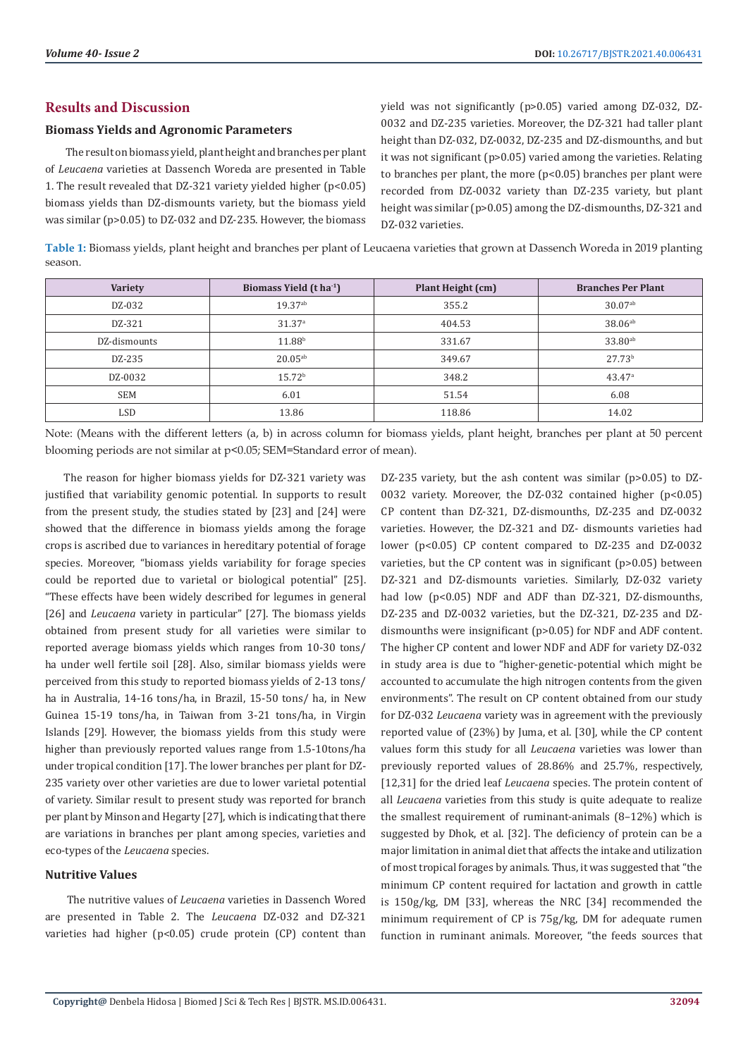# **Results and Discussion**

# **Biomass Yields and Agronomic Parameters**

 The result on biomass yield, plant height and branches per plant of *Leucaena* varieties at Dassench Woreda are presented in Table 1. The result revealed that DZ-321 variety yielded higher (p<0.05) biomass yields than DZ-dismounts variety, but the biomass yield was similar (p>0.05) to DZ-032 and DZ-235. However, the biomass

yield was not significantly (p>0.05) varied among DZ-032, DZ-0032 and DZ-235 varieties. Moreover, the DZ-321 had taller plant height than DZ-032, DZ-0032, DZ-235 and DZ-dismounths, and but it was not significant (p>0.05) varied among the varieties. Relating to branches per plant, the more (p<0.05) branches per plant were recorded from DZ-0032 variety than DZ-235 variety, but plant height was similar (p>0.05) among the DZ-dismounths, DZ-321 and DZ-032 varieties.

**Table 1:** Biomass yields, plant height and branches per plant of Leucaena varieties that grown at Dassench Woreda in 2019 planting season.

| <b>Variety</b> | Biomass Yield (t ha <sup>-1</sup> ) | Plant Height (cm) | <b>Branches Per Plant</b> |
|----------------|-------------------------------------|-------------------|---------------------------|
| DZ-032         | 19.37ab                             | 355.2             | $30.07^{ab}$              |
| DZ-321         | 31.37 <sup>a</sup>                  | 404.53            | $38.06^{ab}$              |
| DZ-dismounts   | 11.88 <sup>b</sup>                  | 331.67            | $33.80^{ab}$              |
| DZ-235         | $20.05^{ab}$                        | 349.67            | 27.73 <sup>b</sup>        |
| DZ-0032        | 15.72 <sup>b</sup>                  | 348.2             | 43.47a                    |
| <b>SEM</b>     | 6.01                                | 51.54             | 6.08                      |
| <b>LSD</b>     | 13.86                               | 118.86            | 14.02                     |

Note: (Means with the different letters (a, b) in across column for biomass yields, plant height, branches per plant at 50 percent blooming periods are not similar at p<0.05; SEM=Standard error of mean).

The reason for higher biomass yields for DZ-321 variety was justified that variability genomic potential. In supports to result from the present study, the studies stated by [23] and [24] were showed that the difference in biomass yields among the forage crops is ascribed due to variances in hereditary potential of forage species. Moreover, "biomass yields variability for forage species could be reported due to varietal or biological potential" [25]. "These effects have been widely described for legumes in general [26] and *Leucaena* variety in particular" [27]. The biomass yields obtained from present study for all varieties were similar to reported average biomass yields which ranges from 10-30 tons/ ha under well fertile soil [28]. Also, similar biomass yields were perceived from this study to reported biomass yields of 2-13 tons/ ha in Australia, 14-16 tons/ha, in Brazil, 15-50 tons/ ha, in New Guinea 15-19 tons/ha, in Taiwan from 3-21 tons/ha, in Virgin Islands [29]. However, the biomass yields from this study were higher than previously reported values range from 1.5-10tons/ha under tropical condition [17]. The lower branches per plant for DZ-235 variety over other varieties are due to lower varietal potential of variety. Similar result to present study was reported for branch per plant by Minson and Hegarty [27], which is indicating that there are variations in branches per plant among species, varieties and eco-types of the *Leucaena* species.

# **Nutritive Values**

 The nutritive values of *Leucaena* varieties in Dassench Wored are presented in Table 2. The *Leucaena* DZ-032 and DZ-321 varieties had higher  $(p<0.05)$  crude protein  $(CP)$  content than DZ-235 variety, but the ash content was similar (p>0.05) to DZ-0032 variety. Moreover, the DZ-032 contained higher (p<0.05) CP content than DZ-321, DZ-dismounths, DZ-235 and DZ-0032 varieties. However, the DZ-321 and DZ- dismounts varieties had lower (p<0.05) CP content compared to DZ-235 and DZ-0032 varieties, but the CP content was in significant (p>0.05) between DZ-321 and DZ-dismounts varieties. Similarly, DZ-032 variety had low (p<0.05) NDF and ADF than DZ-321, DZ-dismounths, DZ-235 and DZ-0032 varieties, but the DZ-321, DZ-235 and DZdismounths were insignificant (p>0.05) for NDF and ADF content. The higher CP content and lower NDF and ADF for variety DZ-032 in study area is due to "higher-genetic-potential which might be accounted to accumulate the high nitrogen contents from the given environments". The result on CP content obtained from our study for DZ-032 *Leucaena* variety was in agreement with the previously reported value of (23%) by Juma, et al. [30], while the CP content values form this study for all *Leucaena* varieties was lower than previously reported values of 28.86% and 25.7%, respectively, [12,31] for the dried leaf *Leucaena* species. The protein content of all *Leucaena* varieties from this study is quite adequate to realize the smallest requirement of ruminant-animals (8–12%) which is suggested by Dhok, et al. [32]. The deficiency of protein can be a major limitation in animal diet that affects the intake and utilization of most tropical forages by animals. Thus, it was suggested that "the minimum CP content required for lactation and growth in cattle is 150g/kg, DM [33], whereas the NRC [34] recommended the minimum requirement of CP is 75g/kg, DM for adequate rumen function in ruminant animals. Moreover, "the feeds sources that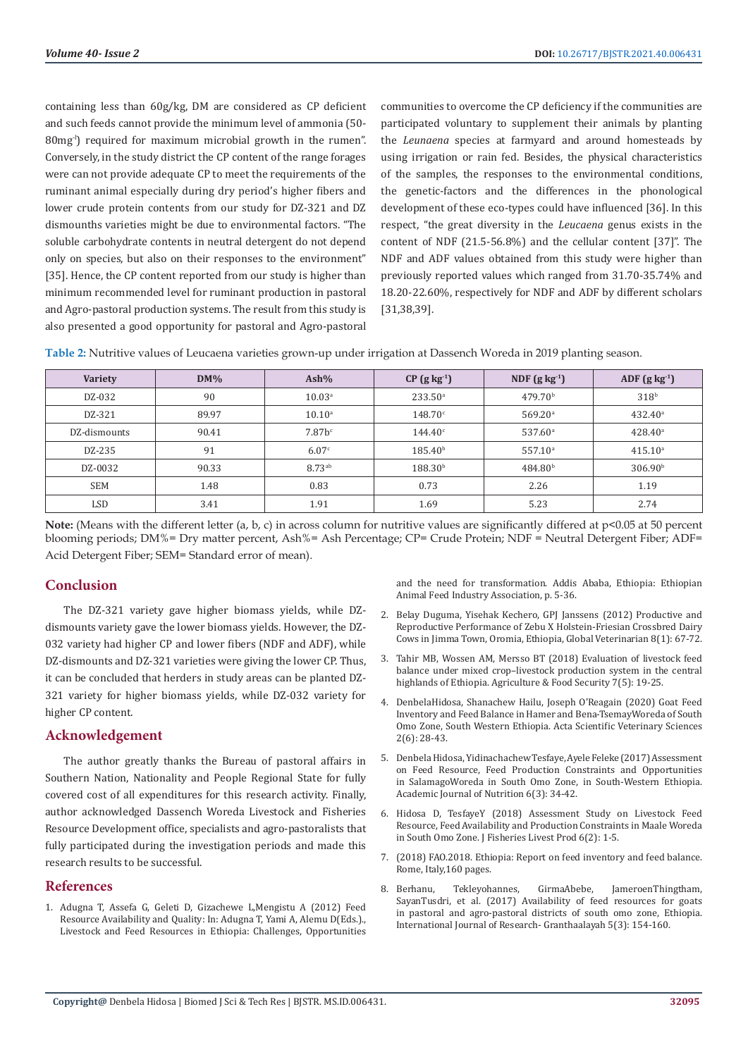containing less than 60g/kg, DM are considered as CP deficient and such feeds cannot provide the minimum level of ammonia (50- 80mg<sup>-l</sup>) required for maximum microbial growth in the rumen". Conversely, in the study district the CP content of the range forages were can not provide adequate CP to meet the requirements of the ruminant animal especially during dry period's higher fibers and lower crude protein contents from our study for DZ-321 and DZ dismounths varieties might be due to environmental factors. "The soluble carbohydrate contents in neutral detergent do not depend only on species, but also on their responses to the environment" [35]. Hence, the CP content reported from our study is higher than minimum recommended level for ruminant production in pastoral and Agro-pastoral production systems. The result from this study is also presented a good opportunity for pastoral and Agro-pastoral

communities to overcome the CP deficiency if the communities are participated voluntary to supplement their animals by planting the *Leunaena* species at farmyard and around homesteads by using irrigation or rain fed. Besides, the physical characteristics of the samples, the responses to the environmental conditions, the genetic-factors and the differences in the phonological development of these eco-types could have influenced [36]. In this respect, "the great diversity in the *Leucaena* genus exists in the content of NDF (21.5-56.8%) and the cellular content [37]". The NDF and ADF values obtained from this study were higher than previously reported values which ranged from 31.70-35.74% and 18.20-22.60%, respectively for NDF and ADF by different scholars [31,38,39].

| <b>Variety</b> | $DM\%$ | $Ash\%$            | $CP$ (g kg <sup>-1</sup> ) | NDF $(g \text{ kg}^{-1})$ | ADF $(g \, kg^{-1})$ |
|----------------|--------|--------------------|----------------------------|---------------------------|----------------------|
| DZ-032         | 90     | 10.03 <sup>a</sup> | $233.50^{\circ}$           | 479.70 <sup>b</sup>       | 318 <sup>b</sup>     |
| DZ-321         | 89.97  | $10.10^{a}$        | 148.70c                    | 569.20a                   | $432.40^{\circ}$     |
| DZ-dismounts   | 90.41  | 7.87 <sup>c</sup>  | $144.40^{\circ}$           | 537.60 <sup>a</sup>       | $428.40^{\circ}$     |
| DZ-235         | 91     | 6.07c              | 185.40 <sup>b</sup>        | $557.10^a$                | 415.10 <sup>a</sup>  |
| DZ-0032        | 90.33  | 8.73 <sup>ab</sup> | 188.30 <sup>b</sup>        | 484.80 <sup>b</sup>       | 306.90 <sup>b</sup>  |
| <b>SEM</b>     | 1.48   | 0.83               | 0.73                       | 2.26                      | 1.19                 |
| LSD            | 3.41   | 1.91               | 1.69                       | 5.23                      | 2.74                 |

**Table 2:** Nutritive values of Leucaena varieties grown-up under irrigation at Dassench Woreda in 2019 planting season.

**Note:** (Means with the different letter (a, b, c) in across column for nutritive values are significantly differed at  $p<0.05$  at 50 percent blooming periods; DM%= Dry matter percent, Ash%= Ash Percentage; CP= Crude Protein; NDF = Neutral Detergent Fiber; ADF= Acid Detergent Fiber; SEM= Standard error of mean).

# **Conclusion**

The DZ-321 variety gave higher biomass yields, while DZdismounts variety gave the lower biomass yields. However, the DZ-032 variety had higher CP and lower fibers (NDF and ADF), while DZ-dismounts and DZ-321 varieties were giving the lower CP. Thus, it can be concluded that herders in study areas can be planted DZ-321 variety for higher biomass yields, while DZ-032 variety for higher CP content.

# **Acknowledgement**

The author greatly thanks the Bureau of pastoral affairs in Southern Nation, Nationality and People Regional State for fully covered cost of all expenditures for this research activity. Finally, author acknowledged Dassench Woreda Livestock and Fisheries Resource Development office, specialists and agro-pastoralists that fully participated during the investigation periods and made this research results to be successful.

# **References**

1. Adugna T, Assefa G, Geleti D, Gizachewe L,Mengistu A (2012) Feed Resource Availability and Quality: In: Adugna T, Yami A, Alemu D(Eds.)., Livestock and Feed Resources in Ethiopia: Challenges, Opportunities and the need for transformation. Addis Ababa, Ethiopia: Ethiopian Animal Feed Industry Association, p. 5-36.

- 2. [Belay Duguma, Yisehak Kechero, GPJ Janssens \(2012\) Productive and](https://www.researchgate.net/publication/234026629_Productive_and_reproductive_performance_of_Zebu_X_Holstein-Friesian_crossbred_dairy_cows_in_Jimma_town_Oromia_Ethiopia) [Reproductive Performance of Zebu X Holstein-Friesian Crossbred Dairy](https://www.researchgate.net/publication/234026629_Productive_and_reproductive_performance_of_Zebu_X_Holstein-Friesian_crossbred_dairy_cows_in_Jimma_town_Oromia_Ethiopia) [Cows in Jimma Town, Oromia, Ethiopia, Global Veterinarian 8\(1\): 67-72.](https://www.researchgate.net/publication/234026629_Productive_and_reproductive_performance_of_Zebu_X_Holstein-Friesian_crossbred_dairy_cows_in_Jimma_town_Oromia_Ethiopia)
- 3. [Tahir MB, Wossen AM, Mersso BT \(2018\) Evaluation of livestock feed](https://agricultureandfoodsecurity.biomedcentral.com/articles/10.1186/s40066-018-0170-8) [balance under mixed crop–livestock production system in the central](https://agricultureandfoodsecurity.biomedcentral.com/articles/10.1186/s40066-018-0170-8) [highlands of Ethiopia. Agriculture & Food Security 7\(5\): 19-25.](https://agricultureandfoodsecurity.biomedcentral.com/articles/10.1186/s40066-018-0170-8)
- 4. [DenbelaHidosa, Shanachew Hailu, Joseph O'Reagain \(2020\) Goat Feed](https://www.researchgate.net/publication/341832189_Goat_Feed_Inventory_and_Feed_Balance_in_Hamer_and_Bena-Tsemay_Woreda_of_South_Omo_Zone_South_Western_Ethiopia) [Inventory and Feed Balance in Hamer and Bena-TsemayWoreda of South](https://www.researchgate.net/publication/341832189_Goat_Feed_Inventory_and_Feed_Balance_in_Hamer_and_Bena-Tsemay_Woreda_of_South_Omo_Zone_South_Western_Ethiopia) [Omo Zone, South Western Ethiopia. Acta Scientific Veterinary Sciences](https://www.researchgate.net/publication/341832189_Goat_Feed_Inventory_and_Feed_Balance_in_Hamer_and_Bena-Tsemay_Woreda_of_South_Omo_Zone_South_Western_Ethiopia) [2\(6\): 28-43.](https://www.researchgate.net/publication/341832189_Goat_Feed_Inventory_and_Feed_Balance_in_Hamer_and_Bena-Tsemay_Woreda_of_South_Omo_Zone_South_Western_Ethiopia)
- 5. [Denbela Hidosa, Yidinachachew Tesfaye, Ayele Feleke \(2017\) Assessment](https://www.researchgate.net/publication/334458626_Assessment_on_Feed_Resource_Feed_Production_Constraints_and_Opportunities_in_Salamago_Woreda_in_South_Omo_Zone_in_South_Western_Ethiopia) [on Feed Resource, Feed Production Constraints and Opportunities](https://www.researchgate.net/publication/334458626_Assessment_on_Feed_Resource_Feed_Production_Constraints_and_Opportunities_in_Salamago_Woreda_in_South_Omo_Zone_in_South_Western_Ethiopia) [in SalamagoWoreda in South Omo Zone, in South-Western Ethiopia.](https://www.researchgate.net/publication/334458626_Assessment_on_Feed_Resource_Feed_Production_Constraints_and_Opportunities_in_Salamago_Woreda_in_South_Omo_Zone_in_South_Western_Ethiopia) [Academic Journal of Nutrition 6\(3\): 34-42.](https://www.researchgate.net/publication/334458626_Assessment_on_Feed_Resource_Feed_Production_Constraints_and_Opportunities_in_Salamago_Woreda_in_South_Omo_Zone_in_South_Western_Ethiopia)
- 6. [Hidosa D, TesfayeY \(2018\) Assessment Study on Livestock Feed](https://www.researchgate.net/publication/326510042_Assessment_Study_on_Livestock_Feed_Resource_Feed_Availability_and_Production_Constraints_in_Maale_Woreda_in_South_Omo_Zone) [Resource, Feed Availability and Production Constraints in Maale Woreda](https://www.researchgate.net/publication/326510042_Assessment_Study_on_Livestock_Feed_Resource_Feed_Availability_and_Production_Constraints_in_Maale_Woreda_in_South_Omo_Zone) [in South Omo Zone. J Fisheries Livest Prod 6\(2\): 1-5.](https://www.researchgate.net/publication/326510042_Assessment_Study_on_Livestock_Feed_Resource_Feed_Availability_and_Production_Constraints_in_Maale_Woreda_in_South_Omo_Zone)
- 7. (2018) FAO.2018. Ethiopia: Report on feed inventory and feed balance. Rome, Italy,160 pages.
- 8. [Berhanu, Tekleyohannes, GirmaAbebe, JameroenThingtham,](https://www.granthaalayahpublication.org/journals/index.php/granthaalayah/article/view/IJRG16_C12_212) [SayanTusdri, et al. \(2017\) Availability of feed resources for goats](https://www.granthaalayahpublication.org/journals/index.php/granthaalayah/article/view/IJRG16_C12_212) [in pastoral and agro-pastoral districts of south omo zone, Ethiopia.](https://www.granthaalayahpublication.org/journals/index.php/granthaalayah/article/view/IJRG16_C12_212) [International Journal of Research- Granthaalayah 5\(3\): 154-160.](https://www.granthaalayahpublication.org/journals/index.php/granthaalayah/article/view/IJRG16_C12_212)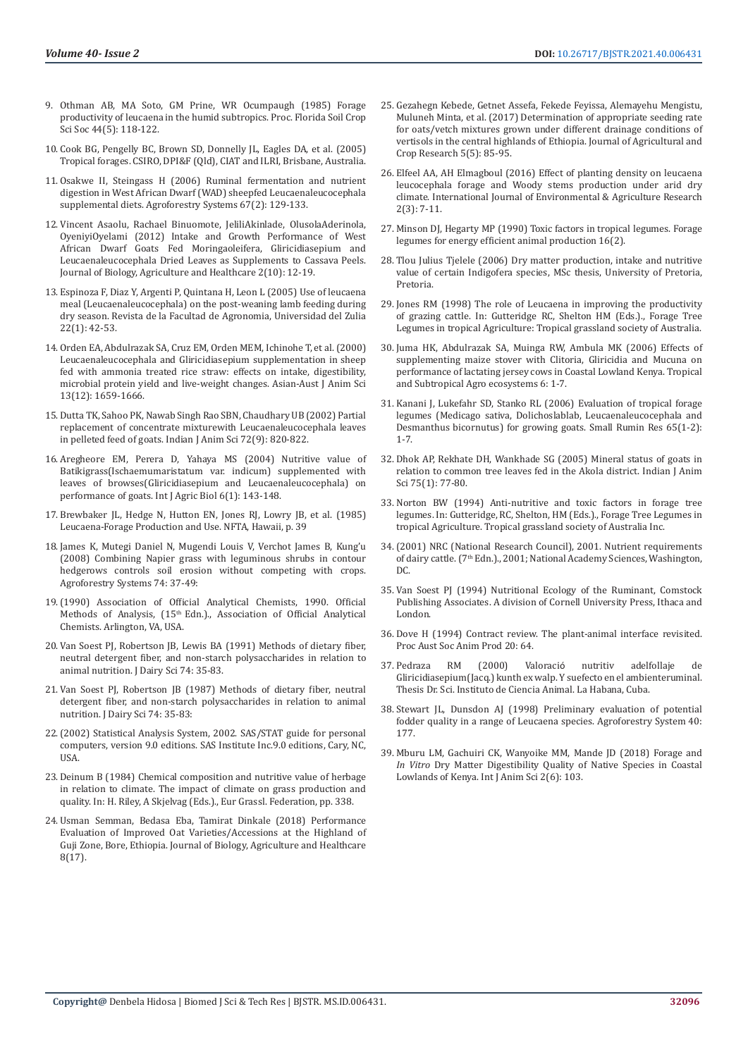- 9. Othman AB, MA Soto, GM Prine, WR Ocumpaugh (1985) Forage productivity of leucaena in the humid subtropics. Proc. Florida Soil Crop Sci Soc 44(5): 118-122.
- 10. Cook BG, Pengelly BC, Brown SD, Donnelly JL, Eagles DA, et al. (2005) Tropical forages. CSIRO, DPI&F (Qld), CIAT and ILRI, Brisbane, Australia.
- 11. [Osakwe II, Steingass H \(2006\) Ruminal fermentation and nutrient](https://link.springer.com/article/10.1007/s10457-005-7474-y)  [digestion in West African Dwarf \(WAD\) sheepfed Leucaenaleucocephala](https://link.springer.com/article/10.1007/s10457-005-7474-y)  [supplemental diets. Agroforestry Systems 67\(2\): 129-133.](https://link.springer.com/article/10.1007/s10457-005-7474-y)
- 12. [Vincent Asaolu, Rachael Binuomote, JeliliAkinlade, OlusolaAderinola,](https://core.ac.uk/download/pdf/234658558.pdf)  [OyeniyiOyelami \(2012\) Intake and Growth Performance of West](https://core.ac.uk/download/pdf/234658558.pdf)  [African Dwarf Goats Fed Moringaoleifera, Gliricidiasepium and](https://core.ac.uk/download/pdf/234658558.pdf)  [Leucaenaleucocephala Dried Leaves as Supplements to Cassava Peels.](https://core.ac.uk/download/pdf/234658558.pdf)  [Journal of Biology, Agriculture and Healthcare 2\(10\): 12-19.](https://core.ac.uk/download/pdf/234658558.pdf)
- 13. [Espinoza F, Diaz Y, Argenti P, Quintana H, Leon L \(2005\) Use of leucaena](https://eurekamag.com/research/004/378/004378015.php)  [meal \(Leucaenaleucocephala\) on the post-weaning lamb feeding during](https://eurekamag.com/research/004/378/004378015.php)  [dry season. Revista de la Facultad de Agronomia, Universidad del Zulia](https://eurekamag.com/research/004/378/004378015.php)  [22\(1\): 42-53.](https://eurekamag.com/research/004/378/004378015.php)
- 14. Orden EA, Abdulrazak SA, Cruz EM, Orden MEM, Ichinohe T, et al. (2000) Leucaenaleucocephala and Gliricidiasepium supplementation in sheep fed with ammonia treated rice straw: effects on intake, digestibility, microbial protein yield and live-weight changes. Asian-Aust J Anim Sci 13(12): 1659-1666.
- 15. [Dutta TK, Sahoo PK, Nawab Singh Rao SBN, Chaudhary UB \(2002\) Partial](https://www.researchgate.net/publication/290582892_Partial_replacement_of_concentrate_mixture_with_Leucaena_leucocephala_leaves_in_pelleted_feed_of_goats)  [replacement of concentrate mixturewith Leucaenaleucocephala leaves](https://www.researchgate.net/publication/290582892_Partial_replacement_of_concentrate_mixture_with_Leucaena_leucocephala_leaves_in_pelleted_feed_of_goats)  [in pelleted feed of goats. Indian J Anim Sci 72\(9\): 820-822.](https://www.researchgate.net/publication/290582892_Partial_replacement_of_concentrate_mixture_with_Leucaena_leucocephala_leaves_in_pelleted_feed_of_goats)
- 16. [Aregheore EM, Perera D, Yahaya MS \(2004\) Nutritive value of](http://www.fspublishers.org/published_papers/46078_..pdf)  [Batikigrass\(Ischaemumaristatum var. indicum\) supplemented with](http://www.fspublishers.org/published_papers/46078_..pdf)  [leaves of browses\(Gliricidiasepium and Leucaenaleucocephala\) on](http://www.fspublishers.org/published_papers/46078_..pdf)  [performance of goats. Int J Agric Biol 6\(1\): 143-148.](http://www.fspublishers.org/published_papers/46078_..pdf)
- 17. Brewbaker JL, Hedge N, Hutton EN, Jones RJ, Lowry JB, et al. (1985) Leucaena-Forage Production and Use. NFTA, Hawaii, p. 39
- 18. [James K, Mutegi Daniel N, Mugendi Louis V, Verchot James B, Kung'u](https://link.springer.com/article/10.1007/s10457-008-9152-3)  [\(2008\) Combining Napier grass with leguminous shrubs in contour](https://link.springer.com/article/10.1007/s10457-008-9152-3)  [hedgerows controls soil erosion without competing with crops.](https://link.springer.com/article/10.1007/s10457-008-9152-3)  [Agroforestry Systems 74: 37-49:](https://link.springer.com/article/10.1007/s10457-008-9152-3)
- 19.(1990) Association of Official Analytical Chemists, 1990. Official Methods of Analysis, (15<sup>th</sup> Edn.)., Association of Official Analytical Chemists. Arlington, VA, USA.
- 20. Van Soest PJ, Robertson JB, Lewis BA (1991) Methods of dietary fiber, neutral detergent fiber, and non-starch polysaccharides in relation to animal nutrition. J Dairy Sci 74: 35-83.
- 21. Van Soest PJ, Robertson JB (1987) Methods of dietary fiber, neutral detergent fiber, and non-starch polysaccharides in relation to animal nutrition. J Dairy Sci 74: 35-83:
- 22.(2002) Statistical Analysis System, 2002. SAS/STAT guide for personal computers, version 9.0 editions. SAS Institute Inc.9.0 editions, Cary, NC, USA.
- 23. [Deinum B \(1984\) Chemical composition and nutritive value of herbage](https://research.wur.nl/en/publications/chemical-composition-and-nutritive-value-of-herbage-in-relation-t)  [in relation to climate. The impact of climate on grass production and](https://research.wur.nl/en/publications/chemical-composition-and-nutritive-value-of-herbage-in-relation-t)  [quality. In: H. Riley, A Skjelvag \(Eds.\)., Eur Grassl. Federation, pp. 338.](https://research.wur.nl/en/publications/chemical-composition-and-nutritive-value-of-herbage-in-relation-t)
- 24. [Usman Semman, Bedasa Eba, Tamirat Dinkale \(2018\) Performance](https://www.researchgate.net/publication/329034040_Performance_Evaluation_of_Improved_Oat_VarietiesAccessions_at_the_Highland_of_Guji_Zone_Bore_Ethiopia)  [Evaluation of Improved Oat Varieties/Accessions at the Highland of](https://www.researchgate.net/publication/329034040_Performance_Evaluation_of_Improved_Oat_VarietiesAccessions_at_the_Highland_of_Guji_Zone_Bore_Ethiopia)  [Guji Zone, Bore, Ethiopia. Journal of Biology, Agriculture and Healthcare](https://www.researchgate.net/publication/329034040_Performance_Evaluation_of_Improved_Oat_VarietiesAccessions_at_the_Highland_of_Guji_Zone_Bore_Ethiopia)  [8\(17\).](https://www.researchgate.net/publication/329034040_Performance_Evaluation_of_Improved_Oat_VarietiesAccessions_at_the_Highland_of_Guji_Zone_Bore_Ethiopia)
- 25. [Gezahegn Kebede, Getnet Assefa, Fekede Feyissa, Alemayehu Mengistu,](http://www.sciencewebpublishing.net/jacr/archive/2017/November/Abstract/Kebede%20et%20al.htm) [Muluneh Minta, et al. \(2017\) Determination of appropriate seeding rate](http://www.sciencewebpublishing.net/jacr/archive/2017/November/Abstract/Kebede%20et%20al.htm) [for oats/vetch mixtures grown under different drainage conditions of](http://www.sciencewebpublishing.net/jacr/archive/2017/November/Abstract/Kebede%20et%20al.htm) [vertisols in the central highlands of Ethiopia. Journal of Agricultural and](http://www.sciencewebpublishing.net/jacr/archive/2017/November/Abstract/Kebede%20et%20al.htm) [Crop Research 5\(5\): 85-95.](http://www.sciencewebpublishing.net/jacr/archive/2017/November/Abstract/Kebede%20et%20al.htm)
- 26. [Elfeel AA, AH Elmagboul \(2016\) Effect of planting density on leucaena](https://ijoear.com/Paper-March-2016/IJOEAR-FEB-2016-29.pdf) [leucocephala forage and Woody stems production under arid dry](https://ijoear.com/Paper-March-2016/IJOEAR-FEB-2016-29.pdf) [climate. International Journal of Environmental & Agriculture Research](https://ijoear.com/Paper-March-2016/IJOEAR-FEB-2016-29.pdf) [2\(3\): 7-11.](https://ijoear.com/Paper-March-2016/IJOEAR-FEB-2016-29.pdf)
- 27. Minson DJ, Hegarty MP (1990) Toxic factors in tropical legumes. Forage legumes for energy efficient animal production 16(2).
- 28. Tlou Julius Tjelele (2006) Dry matter production, intake and nutritive value of certain Indigofera species, MSc thesis, University of Pretoria, Pretoria.
- 29. Jones RM (1998) The role of Leucaena in improving the productivity of grazing cattle. In: Gutteridge RC, Shelton HM (Eds.)., Forage Tree Legumes in tropical Agriculture: Tropical grassland society of Australia.
- 30. [Juma HK, Abdulrazak SA, Muinga RW, Ambula MK \(2006\) Effects of](https://www.researchgate.net/publication/237042707_Effects_of_supplementing_maize_stover_with_clitoria_gliricidia_and_mucuna_on_performance_of_lactating_jersey_cows_in_coastal_lowland_kenya) [supplementing maize stover with Clitoria, Gliricidia and Mucuna on](https://www.researchgate.net/publication/237042707_Effects_of_supplementing_maize_stover_with_clitoria_gliricidia_and_mucuna_on_performance_of_lactating_jersey_cows_in_coastal_lowland_kenya) [performance of lactating jersey cows in Coastal Lowland Kenya. Tropical](https://www.researchgate.net/publication/237042707_Effects_of_supplementing_maize_stover_with_clitoria_gliricidia_and_mucuna_on_performance_of_lactating_jersey_cows_in_coastal_lowland_kenya) [and Subtropical Agro ecosystems 6: 1-7.](https://www.researchgate.net/publication/237042707_Effects_of_supplementing_maize_stover_with_clitoria_gliricidia_and_mucuna_on_performance_of_lactating_jersey_cows_in_coastal_lowland_kenya)
- 31. [Kanani J, Lukefahr SD, Stanko RL \(2006\) Evaluation of tropical forage](https://www.researchgate.net/publication/228484332_Evaluation_of_tropical_forage_legumes_Medicago_sativa_Dolichos_lablab_Leucaena_leucocephala_and_Desmanthus_bicornutus_for_growing_goats) [legumes \(Medicago sativa, Dolichoslablab, Leucaenaleucocephala and](https://www.researchgate.net/publication/228484332_Evaluation_of_tropical_forage_legumes_Medicago_sativa_Dolichos_lablab_Leucaena_leucocephala_and_Desmanthus_bicornutus_for_growing_goats) [Desmanthus bicornutus\) for growing goats. Small Rumin Res 65\(1-2\):](https://www.researchgate.net/publication/228484332_Evaluation_of_tropical_forage_legumes_Medicago_sativa_Dolichos_lablab_Leucaena_leucocephala_and_Desmanthus_bicornutus_for_growing_goats) [1-7.](https://www.researchgate.net/publication/228484332_Evaluation_of_tropical_forage_legumes_Medicago_sativa_Dolichos_lablab_Leucaena_leucocephala_and_Desmanthus_bicornutus_for_growing_goats)
- 32. Dhok AP, Rekhate DH, Wankhade SG (2005) Mineral status of goats in relation to common tree leaves fed in the Akola district. Indian J Anim Sci 75(1): 77-80.
- 33. Norton BW (1994) Anti-nutritive and toxic factors in forage tree legumes. In: Gutteridge, RC, Shelton, HM (Eds.)., Forage Tree Legumes in tropical Agriculture. Tropical grassland society of Australia Inc.
- 34.(2001) NRC (National Research Council), 2001. Nutrient requirements of dairy cattle. (7<sup>th</sup> Edn.)., 2001; National Academy Sciences, Washington, DC.
- 35. Van Soest PJ (1994) Nutritional Ecology of the Ruminant, Comstock Publishing Associates. A division of Cornell University Press, Ithaca and London.
- 36. Dove H (1994) Contract review. The plant-animal interface revisited. Proc Aust Soc Anim Prod 20: 64.
- 37. Pedraza RM (2000) Valoració nutritiv adelfollaje de Gliricidiasepium(Jacq.) kunth ex walp. Y suefecto en el ambienteruminal. Thesis Dr. Sci. Instituto de Ciencia Animal. La Habana, Cuba.
- 38. [Stewart JL, Dunsdon AJ \(1998\) Preliminary evaluation of potential](https://www.cabi.org/ISC/abstract/19996779180) [fodder quality in a range of Leucaena species. Agroforestry System 40:](https://www.cabi.org/ISC/abstract/19996779180) [177.](https://www.cabi.org/ISC/abstract/19996779180)
- 39. Mburu LM, Gachuiri CK, Wanyoike MM, Mande JD (2018) Forage and *In Vitro* Dry Matter Digestibility Quality of Native Species in Coastal Lowlands of Kenya. Int J Anim Sci 2(6): 103.